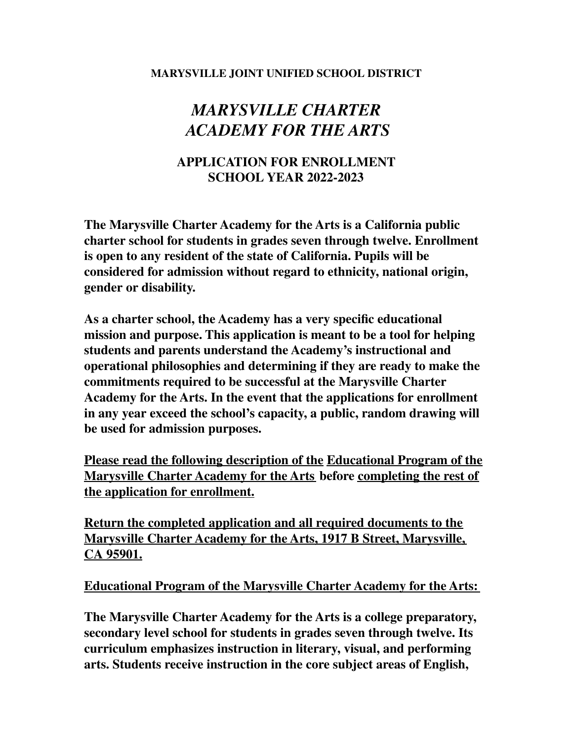#### **MARYSVILLE JOINT UNIFIED SCHOOL DISTRICT**

# *MARYSVILLE CHARTER ACADEMY FOR THE ARTS*

# **APPLICATION FOR ENROLLMENT SCHOOL YEAR 2022-2023**

**The Marysville Charter Academy for the Arts is a California public charter school for students in grades seven through twelve. Enrollment is open to any resident of the state of California. Pupils will be considered for admission without regard to ethnicity, national origin, gender or disability.**

**As a charter school, the Academy has a very specific educational mission and purpose. This application is meant to be a tool for helping students and parents understand the Academy's instructional and operational philosophies and determining if they are ready to make the commitments required to be successful at the Marysville Charter Academy for the Arts. In the event that the applications for enrollment in any year exceed the school's capacity, a public, random drawing will be used for admission purposes.**

**Please read the following description of the Educational Program of the Marysville Charter Academy for the Arts before completing the rest of the application for enrollment.**

**Return the completed application and all required documents to the Marysville Charter Academy for the Arts, 1917 B Street, Marysville, CA 95901.**

**Educational Program of the Marysville Charter Academy for the Arts:**

**The Marysville Charter Academy for the Arts is a college preparatory, secondary level school for students in grades seven through twelve. Its curriculum emphasizes instruction in literary, visual, and performing arts. Students receive instruction in the core subject areas of English,**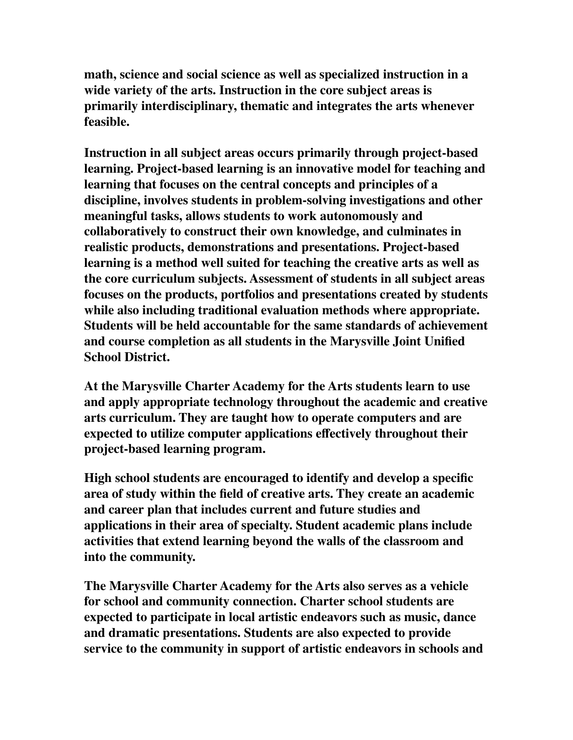**math, science and social science as well as specialized instruction in a wide variety of the arts. Instruction in the core subject areas is primarily interdisciplinary, thematic and integrates the arts whenever feasible.**

**Instruction in all subject areas occurs primarily through project-based learning. Project-based learning is an innovative model for teaching and learning that focuses on the central concepts and principles of a discipline, involves students in problem-solving investigations and other meaningful tasks, allows students to work autonomously and collaboratively to construct their own knowledge, and culminates in realistic products, demonstrations and presentations. Project-based learning is a method well suited for teaching the creative arts as well as the core curriculum subjects. Assessment of students in all subject areas focuses on the products, portfolios and presentations created by students while also including traditional evaluation methods where appropriate. Students will be held accountable for the same standards of achievement and course completion as all students in the Marysville Joint Unified School District.**

**At the Marysville Charter Academy for the Arts students learn to use and apply appropriate technology throughout the academic and creative arts curriculum. They are taught how to operate computers and are expected to utilize computer applications effectively throughout their project-based learning program.**

**High school students are encouraged to identify and develop a specific area of study within the field of creative arts. They create an academic and career plan that includes current and future studies and applications in their area of specialty. Student academic plans include activities that extend learning beyond the walls of the classroom and into the community.**

**The Marysville Charter Academy for the Arts also serves as a vehicle for school and community connection. Charter school students are expected to participate in local artistic endeavors such as music, dance and dramatic presentations. Students are also expected to provide service to the community in support of artistic endeavors in schools and**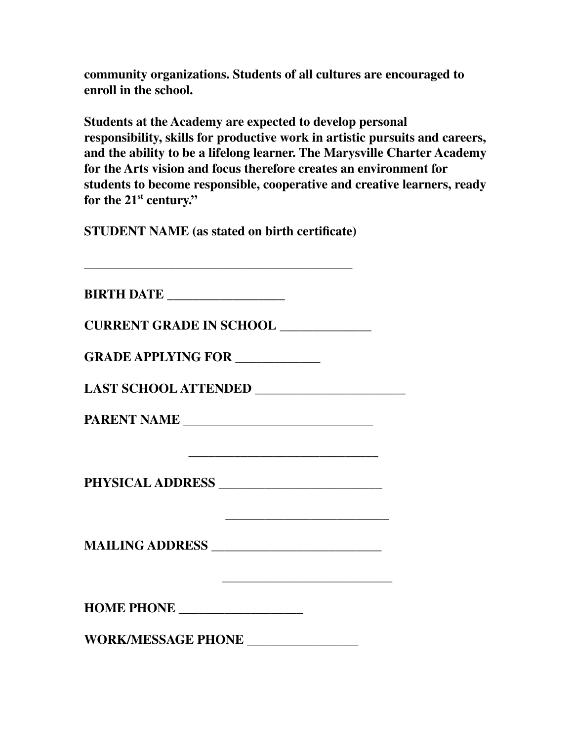**community organizations. Students of all cultures are encouraged to enroll in the school.**

**Students at the Academy are expected to develop personal responsibility, skills for productive work in artistic pursuits and careers, and the ability to be a lifelong learner. The Marysville Charter Academy for the Arts vision and focus therefore creates an environment for students to become responsible, cooperative and creative learners, ready for the 21 st century."**

**STUDENT NAME (as stated on birth certificate)**

| <b>BIRTH DATE</b> ________________          |  |
|---------------------------------------------|--|
| <b>CURRENT GRADE IN SCHOOL ____________</b> |  |
| <b>GRADE APPLYING FOR ___________</b>       |  |
| LAST SCHOOL ATTENDED ____________________   |  |
|                                             |  |
|                                             |  |
| MAILING ADDRESS                             |  |
| HOME PHONE __________________               |  |
| WORK/MESSAGE PHONE ________________         |  |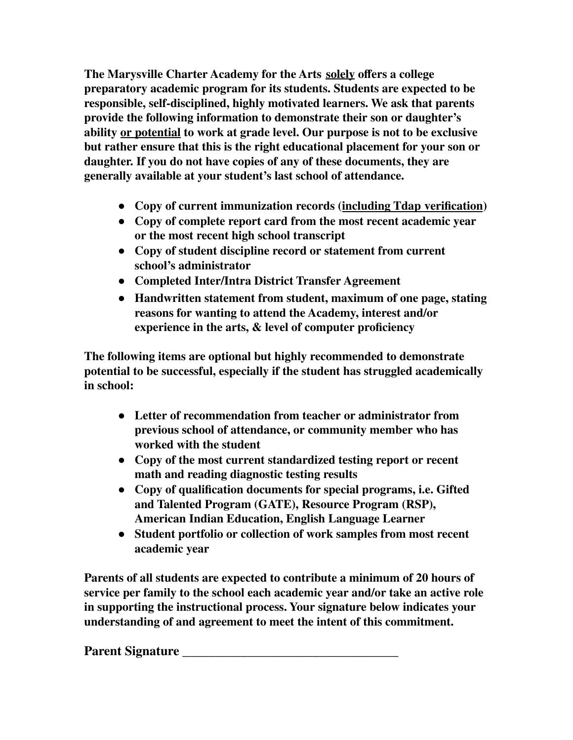**The Marysville Charter Academy for the Arts solely offers a college preparatory academic program for its students. Students are expected to be responsible, self-disciplined, highly motivated learners. We ask that parents provide the following information to demonstrate their son or daughter's ability or potential to work at grade level. Our purpose is not to be exclusive but rather ensure that this is the right educational placement for your son or daughter. If you do not have copies of any of these documents, they are generally available at your student's last school of attendance.**

- **● Copy of current immunization records (including Tdap verification)**
- **● Copy of complete report card from the most recent academic year or the most recent high school transcript**
- **● Copy of student discipline record or statement from current school's administrator**
- **● Completed Inter/Intra District Transfer Agreement**
- **● Handwritten statement from student, maximum of one page, stating reasons for wanting to attend the Academy, interest and/or experience in the arts, & level of computer proficiency**

**The following items are optional but highly recommended to demonstrate potential to be successful, especially if the student has struggled academically in school:**

- **● Letter of recommendation from teacher or administrator from previous school of attendance, or community member who has worked with the student**
- **● Copy of the most current standardized testing report or recent math and reading diagnostic testing results**
- **● Copy of qualification documents for special programs, i.e. Gifted and Talented Program (GATE), Resource Program (RSP), American Indian Education, English Language Learner**
- **● Student portfolio or collection of work samples from most recent academic year**

**Parents of all students are expected to contribute a minimum of 20 hours of service per family to the school each academic year and/or take an active role in supporting the instructional process. Your signature below indicates your understanding of and agreement to meet the intent of this commitment.**

**Parent Signature \_\_\_\_\_\_\_\_\_\_\_\_\_\_\_\_\_\_\_\_\_\_\_\_\_\_\_\_\_\_\_\_\_**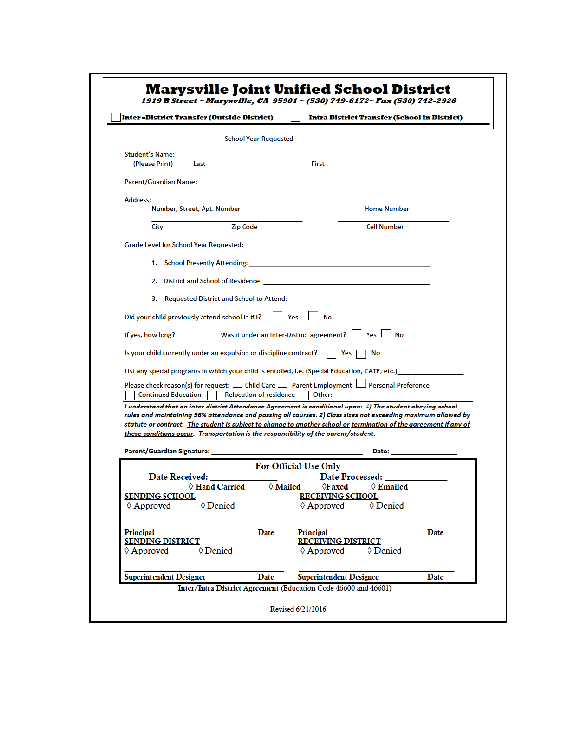| Inter-District Transfer (Outside District)                                                                                                                                                                                                                                                                                                                                                                                               |                                |                                                                                                                 | Intra District Transfer (School in District) |
|------------------------------------------------------------------------------------------------------------------------------------------------------------------------------------------------------------------------------------------------------------------------------------------------------------------------------------------------------------------------------------------------------------------------------------------|--------------------------------|-----------------------------------------------------------------------------------------------------------------|----------------------------------------------|
|                                                                                                                                                                                                                                                                                                                                                                                                                                          | School Year Requested          |                                                                                                                 |                                              |
| Student's Name:<br>(Please Print)<br>Last                                                                                                                                                                                                                                                                                                                                                                                                |                                | <b>First</b>                                                                                                    |                                              |
| Parent/Guardian Name: Name and Second Contract and Second Contract of the Contract of the Contract of the Contract of the Contract of the Contract of the Contract of the Contract of the Contract of the Contract of the Cont                                                                                                                                                                                                           |                                |                                                                                                                 |                                              |
| Address:                                                                                                                                                                                                                                                                                                                                                                                                                                 |                                |                                                                                                                 |                                              |
| Number, Street, Apt. Number                                                                                                                                                                                                                                                                                                                                                                                                              |                                |                                                                                                                 | <b>Home Number</b>                           |
| City                                                                                                                                                                                                                                                                                                                                                                                                                                     | <b>Zip Code</b>                |                                                                                                                 | <b>Cell Number</b>                           |
|                                                                                                                                                                                                                                                                                                                                                                                                                                          |                                |                                                                                                                 |                                              |
|                                                                                                                                                                                                                                                                                                                                                                                                                                          |                                | 2. District and School of Residence: http://www.com/2010/2010/2010                                              |                                              |
|                                                                                                                                                                                                                                                                                                                                                                                                                                          |                                | 3. Requested District and School to Attend: The Contract of Attendent Contract of Attendent Contract Oriental A |                                              |
| Did your child previously attend school in #3?                                                                                                                                                                                                                                                                                                                                                                                           |                                | Yes<br><b>No</b>                                                                                                |                                              |
| If yes, how long? ____________ Was it under an Inter-District agreement?   Yes   No                                                                                                                                                                                                                                                                                                                                                      |                                |                                                                                                                 |                                              |
| Is your child currently under an expulsion or discipline contract?                                                                                                                                                                                                                                                                                                                                                                       |                                | Yes<br>No                                                                                                       |                                              |
| List any special programs in which your child is enrolled, i.e. (Special Education, GATE, etc.)                                                                                                                                                                                                                                                                                                                                          |                                |                                                                                                                 |                                              |
| Please check reason(s) for request:     Child Care     Parent Employment   Personal Preference<br><b>Continued Education</b>                                                                                                                                                                                                                                                                                                             | <b>Relocation of residence</b> | Other:                                                                                                          |                                              |
|                                                                                                                                                                                                                                                                                                                                                                                                                                          |                                |                                                                                                                 |                                              |
| I understand that an inter-district Attendance Agreement is conditional upon: 1) The student obeying school<br>rules and maintaining 96% attendance and passing all courses. 2) Class sizes not exceeding maximum allowed by<br>statute or contract. The student is subject to change to another school or termination of the agreement if any of<br>these conditions occur. Transportation is the responsibility of the parent/student. |                                |                                                                                                                 |                                              |
|                                                                                                                                                                                                                                                                                                                                                                                                                                          |                                | For Official Use Only                                                                                           | Date:                                        |
| Parent/Guardian Signature:<br>Date Received:<br>♦ Hand Carried<br><u>SENDING SCHOOL</u><br>♦ Approved<br>♦ Denied                                                                                                                                                                                                                                                                                                                        | $\Diamond$ Mailed              | Date Processed:<br>$\Diamond$ Faxed<br><u>RECEIVING SCHOOL</u><br>$\Diamond$ Approved                           | $\Diamond$ Emailed<br>♦ Denied               |
| Principal<br><b>SENDING DISTRICT</b><br>$\Diamond$ Approved<br>♦ Denied                                                                                                                                                                                                                                                                                                                                                                  | Date                           | Principal<br><b>RECEIVING DISTRICT</b><br>$\Diamond$ Approved                                                   | Date<br>♦ Denied                             |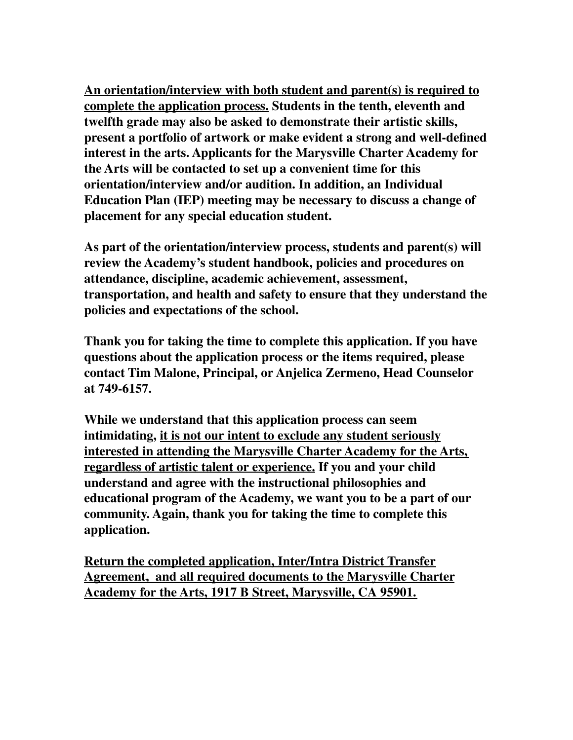**An orientation/interview with both student and parent(s) is required to complete the application process. Students in the tenth, eleventh and twelfth grade may also be asked to demonstrate their artistic skills, present a portfolio of artwork or make evident a strong and well-defined interest in the arts. Applicants for the Marysville Charter Academy for the Arts will be contacted to set up a convenient time for this orientation/interview and/or audition. In addition, an Individual Education Plan (IEP) meeting may be necessary to discuss a change of placement for any special education student.**

**As part of the orientation/interview process, students and parent(s) will review the Academy's student handbook, policies and procedures on attendance, discipline, academic achievement, assessment, transportation, and health and safety to ensure that they understand the policies and expectations of the school.**

**Thank you for taking the time to complete this application. If you have questions about the application process or the items required, please contact Tim Malone, Principal, or Anjelica Zermeno, Head Counselor at 749-6157.**

**While we understand that this application process can seem intimidating, it is not our intent to exclude any student seriously interested in attending the Marysville Charter Academy for the Arts, regardless of artistic talent or experience. If you and your child understand and agree with the instructional philosophies and educational program of the Academy, we want you to be a part of our community. Again, thank you for taking the time to complete this application.**

**Return the completed application, Inter/Intra District Transfer Agreement, and all required documents to the Marysville Charter Academy for the Arts, 1917 B Street, Marysville, CA 95901.**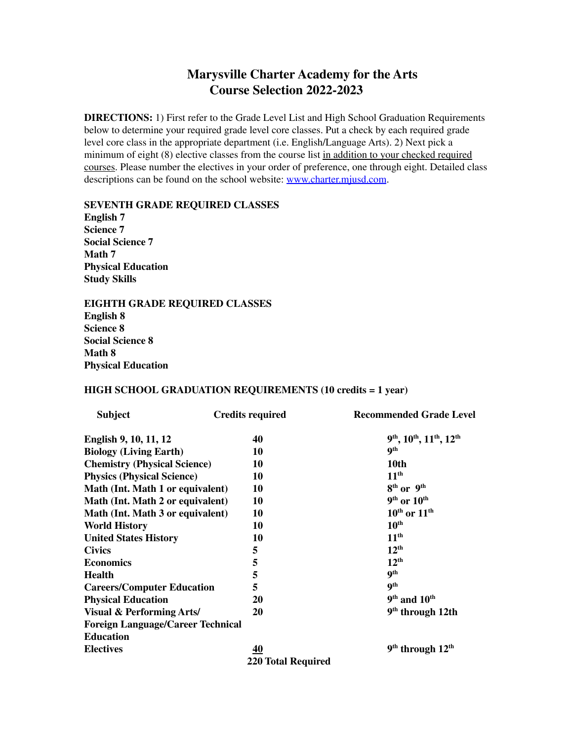## **Marysville Charter Academy for the Arts Course Selection 2022-2023**

**DIRECTIONS:** 1) First refer to the Grade Level List and High School Graduation Requirements below to determine your required grade level core classes. Put a check by each required grade level core class in the appropriate department (i.e. English/Language Arts). 2) Next pick a minimum of eight (8) elective classes from the course list in addition to your checked required courses. Please number the electives in your order of preference, one through eight. Detailed class descriptions can be found on the school website: [www.charter.mjusd.com](http://www.charter.mjusd.com).

#### **SEVENTH GRADE REQUIRED CLASSES**

**English 7 Science 7 Social Science 7 Math 7 Physical Education Study Skills**

#### **EIGHTH GRADE REQUIRED CLASSES**

**English 8 Science 8 Social Science 8 Math 8 Physical Education**

#### **HIGH SCHOOL GRADUATION REQUIREMENTS (10 credits = 1 year)**

| <b>Subject</b>                           | <b>Credits required</b>   | <b>Recommended Grade Level</b>       |
|------------------------------------------|---------------------------|--------------------------------------|
| English 9, 10, 11, 12                    | 40                        | 9th, 10th, 11th, 12th                |
| <b>Biology (Living Earth)</b>            | 10                        | <b>9th</b>                           |
| <b>Chemistry (Physical Science)</b>      | 10                        | 10th                                 |
| <b>Physics (Physical Science)</b>        | 10                        | 11 <sup>th</sup>                     |
| Math (Int. Math 1 or equivalent)         | 10                        | 8 <sup>th</sup> or 9 <sup>th</sup>   |
| Math (Int. Math 2 or equivalent)         | 10                        | $9th$ or $10th$                      |
| Math (Int. Math 3 or equivalent)         | 10                        | $10^{\text{th}}$ or $11^{\text{th}}$ |
| <b>World History</b>                     | 10                        | $10^{\text{th}}$                     |
| <b>United States History</b>             | 10                        | 11 <sup>th</sup>                     |
| <b>Civics</b>                            | 5                         | $12^{th}$                            |
| <b>Economics</b>                         | 5                         | 12 <sup>th</sup>                     |
| <b>Health</b>                            | 5                         | <b>9th</b>                           |
| <b>Careers/Computer Education</b>        | 5                         | <b>9th</b>                           |
| <b>Physical Education</b>                | 20                        | $9th$ and $10th$                     |
| <b>Visual &amp; Performing Arts/</b>     | 20                        | $9th$ through 12th                   |
| <b>Foreign Language/Career Technical</b> |                           |                                      |
| <b>Education</b>                         |                           |                                      |
| <b>Electives</b>                         | <u>40</u>                 | $9th$ through $12th$                 |
|                                          | <b>220 Total Required</b> |                                      |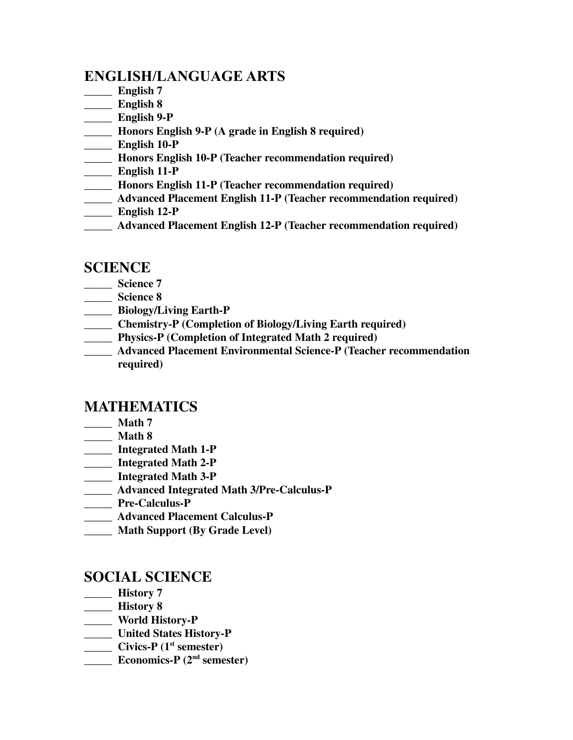# **ENGLISH/LANGUAGE ARTS**

- **\_\_\_\_\_ English 7**
- **\_\_\_\_\_ English 8**
- **\_\_\_\_\_ English 9-P**
- **\_\_\_\_\_ Honors English 9-P (A grade in English 8 required)**
- **\_\_\_\_\_ English 10-P**
- **\_\_\_\_\_ Honors English 10-P (Teacher recommendation required)**
- **\_\_\_\_\_ English 11-P**
- **\_\_\_\_\_ Honors English 11-P (Teacher recommendation required)**
- **\_\_\_\_\_ Advanced Placement English 11-P (Teacher recommendation required)**
- **\_\_\_\_\_ English 12-P**
- **\_\_\_\_\_ Advanced Placement English 12-P (Teacher recommendation required)**

#### **SCIENCE**

- **\_\_\_\_\_ Science 7**
- **\_\_\_\_\_ Science 8**
- **\_\_\_\_\_ Biology/Living Earth-P**
- **\_\_\_\_\_ Chemistry-P (Completion of Biology/Living Earth required)**
- **\_\_\_\_\_ Physics-P (Completion of Integrated Math 2 required)**
- **\_\_\_\_\_ Advanced Placement Environmental Science-P (Teacher recommendation required)**

### **MATHEMATICS**

- **\_\_\_\_\_ Math 7**
- **\_\_\_\_\_ Math 8**
- **\_\_\_\_\_ Integrated Math 1-P**
- **\_\_\_\_\_ Integrated Math 2-P**
- **\_\_\_\_\_ Integrated Math 3-P**
- **\_\_\_\_\_ Advanced Integrated Math 3/Pre-Calculus-P**
- **\_\_\_\_\_ Pre-Calculus-P**
- **\_\_\_\_\_ Advanced Placement Calculus-P**
- **\_\_\_\_\_ Math Support (By Grade Level)**

### **SOCIAL SCIENCE**

- **\_\_\_\_\_ History 7**
- **\_\_\_\_\_ History 8**
- **\_\_\_\_\_ World History-P**
- **\_\_\_\_\_ United States History-P**
- **\_\_\_\_\_ Civics-P (1 st semester)**
- **\_\_\_\_\_ Economics-P (2 nd semester)**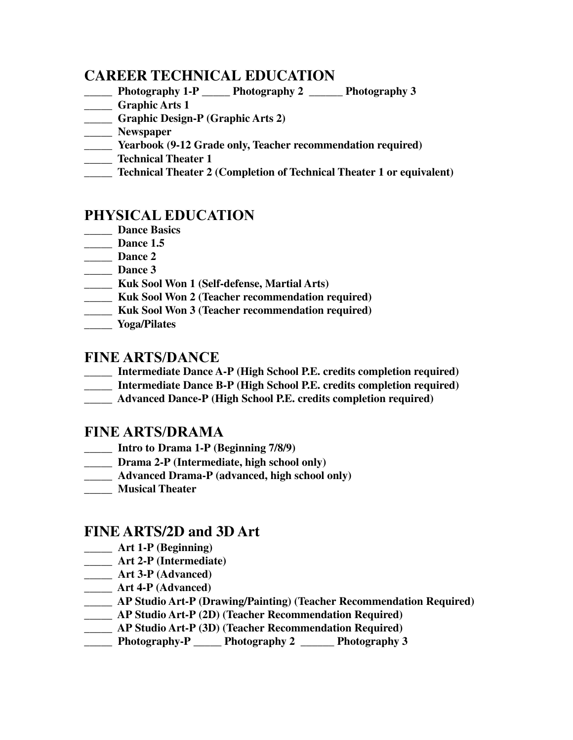### **CAREER TECHNICAL EDUCATION**

- **\_\_\_\_\_ Photography 1-P \_\_\_\_\_ Photography 2 \_\_\_\_\_\_ Photography 3**
- **\_\_\_\_\_ Graphic Arts 1**
- **\_\_\_\_\_ Graphic Design-P (Graphic Arts 2)**
- **\_\_\_\_\_ Newspaper**
- **\_\_\_\_\_ Yearbook (9-12 Grade only, Teacher recommendation required)**
- **\_\_\_\_\_ Technical Theater 1**
- **\_\_\_\_\_ Technical Theater 2 (Completion of Technical Theater 1 or equivalent)**

# **PHYSICAL EDUCATION**

- **\_\_\_\_\_ Dance Basics**
- **\_\_\_\_\_ Dance 1.5**
- **\_\_\_\_\_ Dance 2**
- **\_\_\_\_\_ Dance 3**
- **\_\_\_\_\_ Kuk Sool Won 1 (Self-defense, Martial Arts)**
- **\_\_\_\_\_ Kuk Sool Won 2 (Teacher recommendation required)**
- **\_\_\_\_\_ Kuk Sool Won 3 (Teacher recommendation required)**
- **\_\_\_\_\_ Yoga/Pilates**

### **FINE ARTS/DANCE**

- **\_\_\_\_\_ Intermediate Dance A-P (High School P.E. credits completion required)**
- **\_\_\_\_\_ Intermediate Dance B-P (High School P.E. credits completion required)**
- **\_\_\_\_\_ Advanced Dance-P (High School P.E. credits completion required)**

### **FINE ARTS/DRAMA**

- \_\_\_\_\_ **Intro to Drama 1-P (Beginning 7/8/9)**
- **\_\_\_\_\_ Drama 2-P (Intermediate, high school only)**
- **\_\_\_\_\_ Advanced Drama-P (advanced, high school only)**
- **\_\_\_\_\_ Musical Theater**

# **FINE ARTS/2D and 3D Art**

- **\_\_\_\_\_ Art 1-P (Beginning)**
- **\_\_\_\_\_ Art 2-P (Intermediate)**
- **\_\_\_\_\_ Art 3-P (Advanced)**
- **\_\_\_\_\_ Art 4-P (Advanced)**
- **\_\_\_\_\_ AP Studio Art-P (Drawing/Painting) (Teacher Recommendation Required)**
- **\_\_\_\_\_ AP Studio Art-P (2D) (Teacher Recommendation Required)**
- **\_\_\_\_\_ AP Studio Art-P (3D) (Teacher Recommendation Required)**
- **\_\_\_\_\_ Photography-P \_\_\_\_\_ Photography 2 \_\_\_\_\_\_ Photography 3**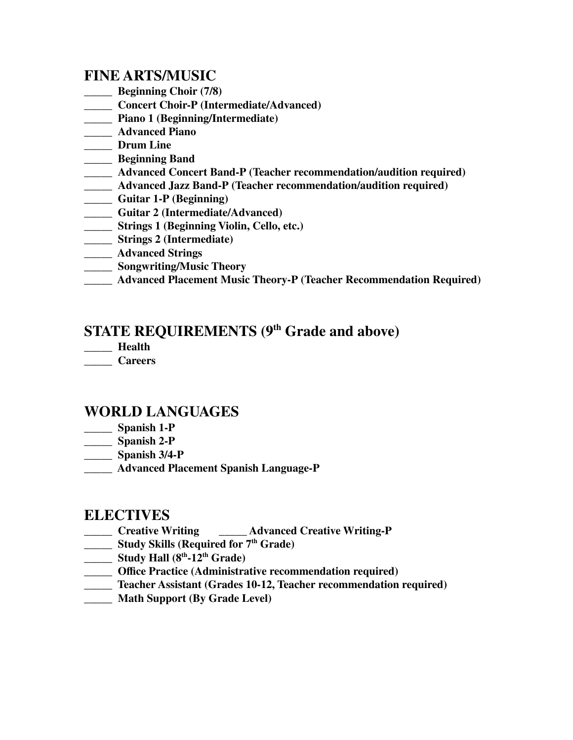# **FINE ARTS/MUSIC**

- **\_\_\_\_\_ Beginning Choir (7/8)**
- **\_\_\_\_\_ Concert Choir-P (Intermediate/Advanced)**
- **\_\_\_\_\_ Piano 1 (Beginning/Intermediate)**
- **\_\_\_\_\_ Advanced Piano**
- **\_\_\_\_\_ Drum Line**
- **\_\_\_\_\_ Beginning Band**
- **\_\_\_\_\_ Advanced Concert Band-P (Teacher recommendation/audition required)**
- **\_\_\_\_\_ Advanced Jazz Band-P (Teacher recommendation/audition required)**
- **\_\_\_\_\_ Guitar 1-P (Beginning)**
- **\_\_\_\_\_ Guitar 2 (Intermediate/Advanced)**
- **\_\_\_\_\_ Strings 1 (Beginning Violin, Cello, etc.)**
- **\_\_\_\_\_ Strings 2 (Intermediate)**
- **\_\_\_\_\_ Advanced Strings**
- **\_\_\_\_\_ Songwriting/Music Theory**
- **\_\_\_\_\_ Advanced Placement Music Theory-P (Teacher Recommendation Required)**

# **STATE REQUIREMENTS (9 th Grade and above)**

- **\_\_\_\_\_ Health**
- **\_\_\_\_\_ Careers**

# **WORLD LANGUAGES**

- **\_\_\_\_\_ Spanish 1-P**
- **\_\_\_\_\_ Spanish 2-P**
- **\_\_\_\_\_ Spanish 3/4-P**
- **\_\_\_\_\_ Advanced Placement Spanish Language-P**

### **ELECTIVES**

- **\_\_\_\_\_ Creative Writing \_\_\_\_\_ Advanced Creative Writing-P**
- **\_\_\_\_\_ Study Skills (Required for 7 th Grade)**
- **\_\_\_\_\_ Study Hall (8 th -12 th Grade)**
- **\_\_\_\_\_ Office Practice (Administrative recommendation required)**
- **\_\_\_\_\_ Teacher Assistant (Grades 10-12, Teacher recommendation required)**
- **\_\_\_\_\_ Math Support (By Grade Level)**